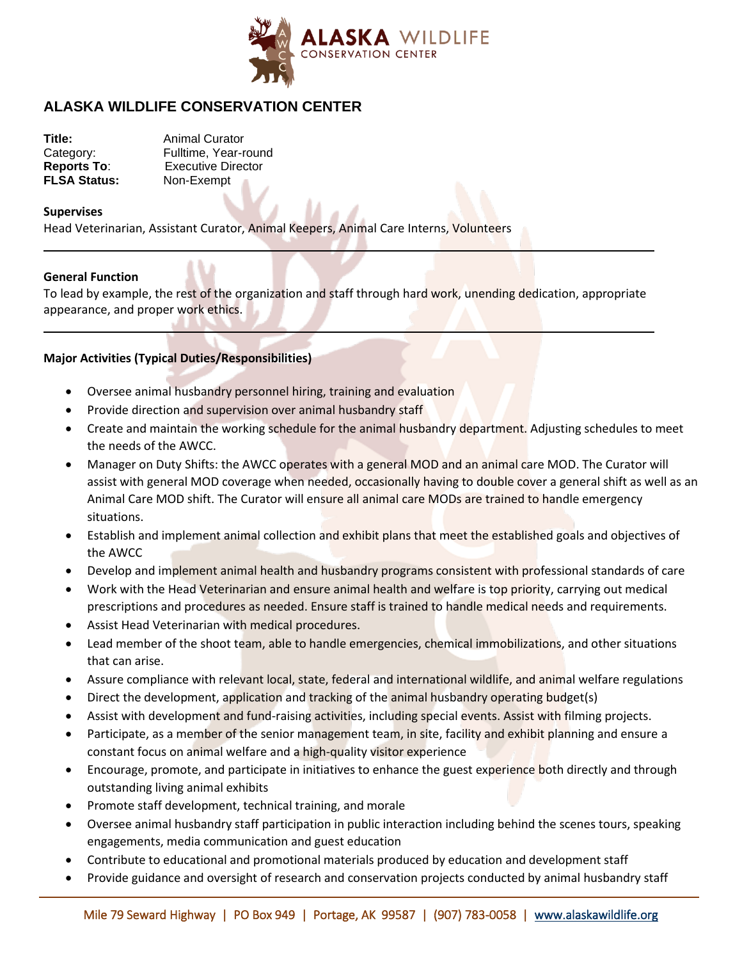

# **ALASKA WILDLIFE CONSERVATION CENTER**

| <b>Animal Curator</b>     |
|---------------------------|
| Fulltime, Year-round      |
| <b>Executive Director</b> |
| Non-Exempt                |
|                           |

#### **Supervises**

Head Veterinarian, Assistant Curator, Animal Keepers, Animal Care Interns, Volunteers

#### **General Function**

To lead by example, the rest of the organization and staff through hard work, unending dedication, appropriate appearance, and proper work ethics.

### **Major Activities (Typical Duties/Responsibilities)**

- Oversee animal husbandry personnel hiring, training and evaluation
- Provide direction and supervision over animal husbandry staff
- Create and maintain the working schedule for the animal husbandry department. Adjusting schedules to meet the needs of the AWCC.
- Manager on Duty Shifts: the AWCC operates with a general MOD and an animal care MOD. The Curator will assist with general MOD coverage when needed, occasionally having to double cover a general shift as well as an Animal Care MOD shift. The Curator will ensure all animal care MODs are trained to handle emergency situations.
- Establish and implement animal collection and exhibit plans that meet the established goals and objectives of the AWCC
- Develop and implement animal health and husbandry programs consistent with professional standards of care
- Work with the Head Veterinarian and ensure animal health and welfare is top priority, carrying out medical prescriptions and procedures as needed. Ensure staff is trained to handle medical needs and requirements.
- Assist Head Veterinarian with medical procedures.
- Lead member of the shoot team, able to handle emergencies, chemical immobilizations, and other situations that can arise.
- Assure compliance with relevant local, state, federal and international wildlife, and animal welfare regulations
- Direct the development, application and tracking of the animal husbandry operating budget(s)
- Assist with development and fund-raising activities, including special events. Assist with filming projects.
- Participate, as a member of the senior management team, in site, facility and exhibit planning and ensure a constant focus on animal welfare and a high-quality visitor experience
- Encourage, promote, and participate in initiatives to enhance the guest experience both directly and through outstanding living animal exhibits
- Promote staff development, technical training, and morale
- Oversee animal husbandry staff participation in public interaction including behind the scenes tours, speaking engagements, media communication and guest education
- Contribute to educational and promotional materials produced by education and development staff
- Provide guidance and oversight of research and conservation projects conducted by animal husbandry staff